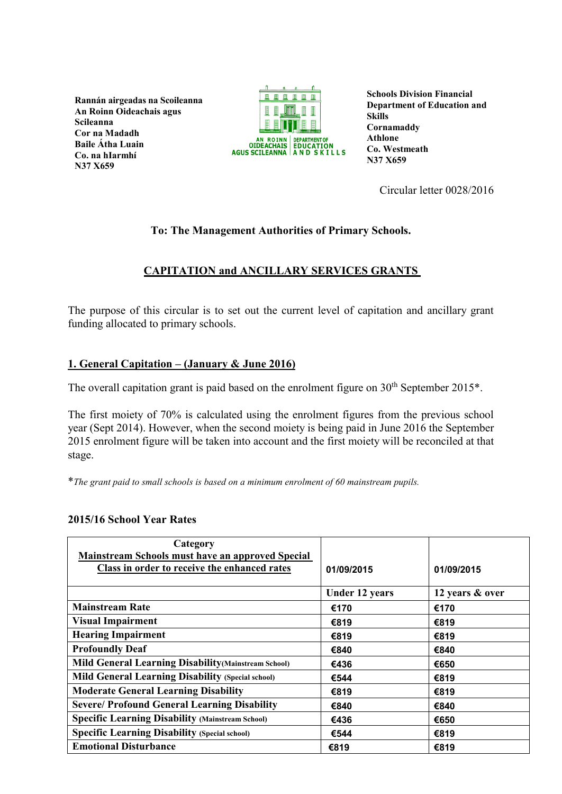**Rannán airgeadas na Scoileanna An Roinn Oideachais agus Scileanna Cor na Madadh Baile Átha Luain Co. na hIarmhí N37 X659**



**Schools Division Financial Department of Education and Skills Cornamaddy Athlone Co. Westmeath N37 X659**

Circular letter 0028/2016

## **To: The Management Authorities of Primary Schools.**

# **CAPITATION and ANCILLARY SERVICES GRANTS**

The purpose of this circular is to set out the current level of capitation and ancillary grant funding allocated to primary schools.

## **1. General Capitation – (January & June 2016)**

The overall capitation grant is paid based on the enrolment figure on  $30<sup>th</sup>$  September 2015<sup>\*</sup>.

The first moiety of 70% is calculated using the enrolment figures from the previous school year (Sept 2014). However, when the second moiety is being paid in June 2016 the September 2015 enrolment figure will be taken into account and the first moiety will be reconciled at that stage.

\**The grant paid to small schools is based on a minimum enrolment of 60 mainstream pupils.*

#### **2015/16 School Year Rates**

| Category<br>Mainstream Schools must have an approved Special |                       |                 |
|--------------------------------------------------------------|-----------------------|-----------------|
| Class in order to receive the enhanced rates                 | 01/09/2015            | 01/09/2015      |
|                                                              | <b>Under 12 years</b> | 12 years & over |
| <b>Mainstream Rate</b>                                       | €170                  | €170            |
| <b>Visual Impairment</b>                                     | €819                  | €819            |
| <b>Hearing Impairment</b>                                    | €819                  | €819            |
| <b>Profoundly Deaf</b>                                       | €840                  | €840            |
| <b>Mild General Learning Disability (Mainstream School)</b>  | €436                  | €650            |
| <b>Mild General Learning Disability (Special school)</b>     | €544                  | €819            |
| <b>Moderate General Learning Disability</b>                  | €819                  | €819            |
| <b>Severe/ Profound General Learning Disability</b>          | €840                  | €840            |
| <b>Specific Learning Disability (Mainstream School)</b>      | €436                  | €650            |
| <b>Specific Learning Disability (Special school)</b>         | €544                  | €819            |
| <b>Emotional Disturbance</b>                                 | €819                  | €819            |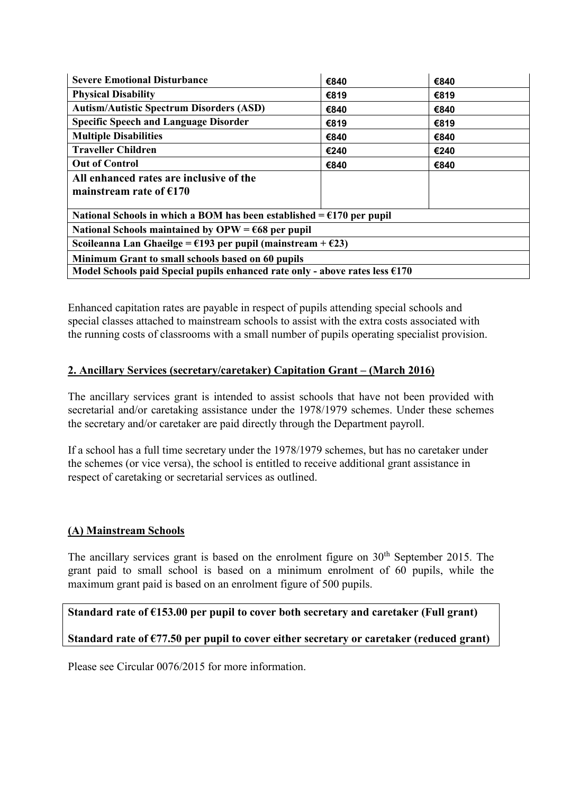| <b>Severe Emotional Disturbance</b>                                             | €840 | €840 |  |
|---------------------------------------------------------------------------------|------|------|--|
| <b>Physical Disability</b>                                                      | €819 | €819 |  |
| <b>Autism/Autistic Spectrum Disorders (ASD)</b>                                 | €840 | €840 |  |
| <b>Specific Speech and Language Disorder</b>                                    | €819 | €819 |  |
| <b>Multiple Disabilities</b>                                                    | €840 | €840 |  |
| <b>Traveller Children</b>                                                       | €240 | €240 |  |
| <b>Out of Control</b>                                                           | €840 | €840 |  |
| All enhanced rates are inclusive of the                                         |      |      |  |
| mainstream rate of $£170$                                                       |      |      |  |
|                                                                                 |      |      |  |
| National Schools in which a BOM has been established = $£170$ per pupil         |      |      |  |
| National Schools maintained by OPW = $668$ per pupil                            |      |      |  |
| Scoileanna Lan Ghaeilge = $\epsilon$ 193 per pupil (mainstream + $\epsilon$ 23) |      |      |  |
| Minimum Grant to small schools based on 60 pupils                               |      |      |  |
| Model Schools paid Special pupils enhanced rate only - above rates less $6170$  |      |      |  |

Enhanced capitation rates are payable in respect of pupils attending special schools and special classes attached to mainstream schools to assist with the extra costs associated with the running costs of classrooms with a small number of pupils operating specialist provision.

### **2. Ancillary Services (secretary/caretaker) Capitation Grant – (March 2016)**

The ancillary services grant is intended to assist schools that have not been provided with secretarial and/or caretaking assistance under the 1978/1979 schemes. Under these schemes the secretary and/or caretaker are paid directly through the Department payroll.

If a school has a full time secretary under the 1978/1979 schemes, but has no caretaker under the schemes (or vice versa), the school is entitled to receive additional grant assistance in respect of caretaking or secretarial services as outlined.

#### **(A) Mainstream Schools**

The ancillary services grant is based on the enrolment figure on 30<sup>th</sup> September 2015. The grant paid to small school is based on a minimum enrolment of 60 pupils, while the maximum grant paid is based on an enrolment figure of 500 pupils.

#### **Standard rate of €153.00 per pupil to cover both secretary and caretaker (Full grant)**

#### **Standard rate of €77.50 per pupil to cover either secretary or caretaker (reduced grant)**

Please see Circular 0076/2015 for more information.